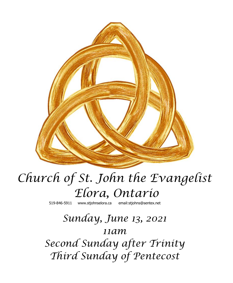

# *Church of St. John the Evangelist Elora, Ontario*

519-846-5911 [www.stjohnselora.ca email:stjohns@sentex.net](http://www.stjohnselora.ca%20%20%20%20%20%20email:stjohns@sentex.net)

# *Sunday, June 13, 2021 11am Second Sunday after Trinity Third Sunday of Pentecost*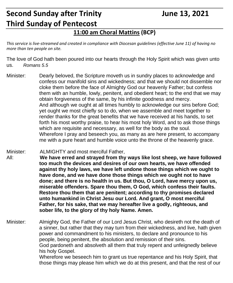# **Second Sunday after Trinity June 13, 2021 Third Sunday of Pentecost**

# **11:00 am Choral Mattins (BCP)**

*This service is live-streamed and created in compliance with Diocesan guidelines (effective June 11) of having no more than ten people on site.* 

The love of God hath been poured into our hearts through the Holy Spirit which was given unto us. *Romans 5.5*

- Minister: Dearly beloved, the Scripture moveth us in sundry places to acknowledge and confess our manifold sins and wickedness; and that we should not dissemble nor cloke them before the face of Almighty God our heavenly Father; but confess them with an humble, lowly, penitent, and obedient heart; to the end that we may obtain forgiveness of the same, by his infinite goodness and mercy. And although we ought at all times humbly to acknowledge our sins before God; yet ought we most chiefly so to do, when we assemble and meet together to render thanks for the great benefits that we have received at his hands, to set forth his most worthy praise, to hear his most holy Word, and to ask those things which are requisite and necessary, as well for the body as the soul. Wherefore I pray and beseech you, as many as are here present, to accompany me with a pure heart and humble voice unto the throne of the heavenly grace.
- Minister: ALMIGHTY and most merciful Father, All: **We have erred and strayed from thy ways like lost sheep, we have followed too much the devices and desires of our own hearts, we have offended against thy holy laws, we have left undone those things which we ought to have done, and we have done those things which we ought not to have done; and there is no health in us. But thou, O Lord, have mercy upon us, miserable offenders. Spare thou them, O God, which confess their faults. Restore thou them that are penitent; according to thy promises declared unto humankind in Christ Jesu our Lord. And grant, O most merciful Father, for his sake, that we may hereafter live a godly, righteous, and sober life, to the glory of thy holy Name. Amen.**

Minister: Almighty God, the Father of our Lord Jesus Christ, who desireth not the death of a sinner, but rather that they may turn from their wickedness, and live, hath given power and commandment to his ministers, to declare and pronounce to his people, being penitent, the absolution and remission of their sins. God pardoneth and absolveth all them that truly repent and unfeignedly believe his holy Gospel. Wherefore we beseech him to grant us true repentance and his Holy Spirit, that those things may please him which we do at this present, and that the rest of our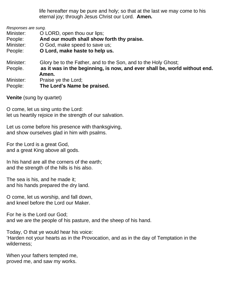life hereafter may be pure and holy; so that at the last we may come to his eternal joy; through Jesus Christ our Lord. **Amen.**

*Responses are sung.* Minister: **O LORD**, open thou our lips; People: **And our mouth shall show forth thy praise.** Minister: O God, make speed to save us; People: **O Lord, make haste to help us.** Minister: Glory be to the Father, and to the Son, and to the Holy Ghost; People. **as it was in the beginning, is now, and ever shall be, world without end. Amen.** Minister: Praise ye the Lord; People: **The Lord's Name be praised.**

**Venite** (sung by quartet)

O come, let us sing unto the Lord: let us heartily rejoice in the strength of our salvation.

Let us come before his presence with thanksgiving, and show ourselves glad in him with psalms.

For the Lord is a great God, and a great King above all gods.

In his hand are all the corners of the earth; and the strength of the hills is his also.

The sea is his, and he made it; and his hands prepared the dry land.

O come, let us worship, and fall down, and kneel before the Lord our Maker.

For he is the Lord our God; and we are the people of his pasture, and the sheep of his hand.

Today, O that ye would hear his voice:

'Harden not your hearts as in the Provocation, and as in the day of Temptation in the wilderness;

When your fathers tempted me, proved me, and saw my works.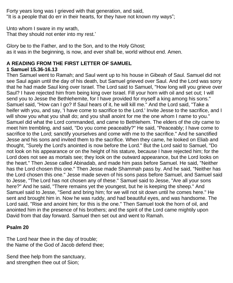Forty years long was I grieved with that generation, and said, "It is a people that do err in their hearts, for they have not known my ways";

Unto whom I sware in my wrath, That they should not enter into my rest.'

Glory be to the Father, and to the Son, and to the Holy Ghost; as it was in the beginning, is now, and ever shall be, world without end. Amen.

# **A READING FROM THE FIRST LETTER OF SAMUEL**

# **1 Samuel 15.36-16.13**

Then Samuel went to Ramah; and Saul went up to his house in Gibeah of Saul. Samuel did not see Saul again until the day of his death, but Samuel grieved over Saul. And the Lord was sorry that he had made Saul king over Israel. The Lord said to Samuel, "How long will you grieve over Saul? I have rejected him from being king over Israel. Fill your horn with oil and set out; I will send you to Jesse the Bethlehemite, for I have provided for myself a king among his sons." Samuel said, "How can I go? If Saul hears of it, he will kill me." And the Lord said, "Take a heifer with you, and say, 'I have come to sacrifice to the Lord.' Invite Jesse to the sacrifice, and I will show you what you shall do; and you shall anoint for me the one whom I name to you." Samuel did what the Lord commanded, and came to Bethlehem. The elders of the city came to meet him trembling, and said, "Do you come peaceably?" He said, "Peaceably; I have come to sacrifice to the Lord; sanctify yourselves and come with me to the sacrifice." And he sanctified Jesse and his sons and invited them to the sacrifice. When they came, he looked on Eliab and thought, "Surely the Lord's anointed is now before the Lord." But the Lord said to Samuel, "Do not look on his appearance or on the height of his stature, because I have rejected him; for the Lord does not see as mortals see; they look on the outward appearance, but the Lord looks on the heart." Then Jesse called Abinadab, and made him pass before Samuel. He said, "Neither has the Lord chosen this one." Then Jesse made Shammah pass by. And he said, "Neither has the Lord chosen this one." Jesse made seven of his sons pass before Samuel, and Samuel said to Jesse, "The Lord has not chosen any of these." Samuel said to Jesse, "Are all your sons here?" And he said, "There remains yet the youngest, but he is keeping the sheep." And Samuel said to Jesse, "Send and bring him; for we will not sit down until he comes here." He sent and brought him in. Now he was ruddy, and had beautiful eyes, and was handsome. The Lord said, "Rise and anoint him; for this is the one." Then Samuel took the horn of oil, and anointed him in the presence of his brothers; and the spirit of the Lord came mightily upon David from that day forward. Samuel then set out and went to Ramah.

# **Psalm 20**

The Lord hear thee in the day of trouble; the Name of the God of Jacob defend thee;

Send thee help from the sanctuary, and strengthen thee out of Sion;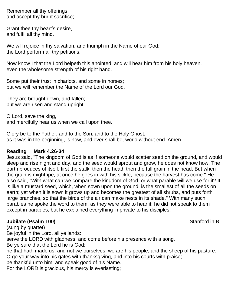Remember all thy offerings, and accept thy burnt sacrifice;

Grant thee thy heart's desire, and fulfil all thy mind.

We will rejoice in thy salvation, and triumph in the Name of our God: the Lord perform all thy petitions.

Now know I that the Lord helpeth this anointed, and will hear him from his holy heaven, even the wholesome strength of his right hand.

Some put their trust in chariots, and some in horses; but we will remember the Name of the Lord our God.

They are brought down, and fallen; but we are risen and stand upright.

O Lord, save the king, and mercifully hear us when we call upon thee.

Glory be to the Father, and to the Son, and to the Holy Ghost; as it was in the beginning, is now, and ever shall be, world without end. Amen.

#### **Reading Mark 4.26-34**

Jesus said, "The kingdom of God is as if someone would scatter seed on the ground, and would sleep and rise night and day, and the seed would sprout and grow, he does not know how. The earth produces of itself, first the stalk, then the head, then the full grain in the head. But when the grain is mightripe, at once he goes in with his sickle, because the harvest has come." He also said, "With what can we compare the kingdom of God, or what parable will we use for it? It is like a mustard seed, which, when sown upon the ground, is the smallest of all the seeds on earth; yet when it is sown it grows up and becomes the greatest of all shrubs, and puts forth large branches, so that the birds of the air can make nests in its shade." With many such parables he spoke the word to them, as they were able to hear it; he did not speak to them except in parables, but he explained everything in private to his disciples.

#### **Jubilate (Psalm 100)** Stanford in B

(sung by quartet) Be joyful in the Lord, all ye lands: serve the LORD with gladness, and come before his presence with a song. Be ye sure that the Lord he is God; he that hath made us, and not we ourselves; we are his people, and the sheep of his pasture. O go your way into his gates with thanksgiving, and into his courts with praise; be thankful unto him, and speak good of his Name. For the LORD is gracious, his mercy is everlasting;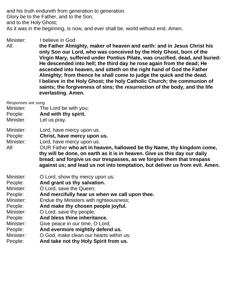and his truth endureth from generation to generation. Glory be to the Father, and to the Son, and to the Holy Ghost; As it was in the beginning, is now, and ever shall be, world without end. Amen.

Minister: I believe in God All: **the Father Almighty, maker of heaven and earth: and in Jesus Christ his only Son our Lord, who was conceived by the Holy Ghost, born of the Virgin Mary, suffered under Pontius Pilate, was crucified, dead, and buried: He descended into hell; the third day he rose again from the dead; He ascended into heaven, and sitteth on the right hand of God the Father Almighty; from thence he shall come to judge the quick and the dead. I believe in the Holy Ghost; the holy Catholic Church; the communion of saints; the forgiveness of sins; the resurrection of the body, and the life everlasting. Amen.**

*Responses are sung.*

- Minister: The Lord be with you;
- People: **And with thy spirit.**
- Minister. Let us pray.
- Minister: Lord, have mercy upon us.

People: **Christ, have mercy upon us.**

Minister: Lord, have mercy upon us.

- All: OUR Father **who art in heaven, hallowed be thy Name, thy kingdom come, thy will be done, on earth as it is in heaven. Give us this day our daily bread; and forgive us our trespasses, as we forgive them that trespass against us; and lead us not into temptation, but deliver us from evil. Amen.**
- Minister: **O Lord, show thy mercy upon us;**
- People: **And grant us thy salvation.**
- Minister: O Lord, save the Queen;
- People: **And mercifully hear us when we call upon thee.**
- Minister: Endue thy Ministers with righteousness;
- People: **And make thy chosen people joyful.**
- Minister: O Lord, save thy people;
- People: **And bless thine inheritance.**
- Minister: Give peace in our time, O Lord;
- People: **And evermore mightily defend us.**
- O God, make clean our hearts within us;
- People: **And take not thy Holy Spirit from us.**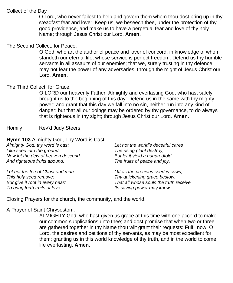### Collect of the Day

 O Lord, who never failest to help and govern them whom thou dost bring up in thy steadfast fear and love: Keep us, we beseech thee, under the protection of thy good providence, and make us to have a perpetual fear and love of thy holy Name; through Jesus Christ our Lord. **Amen.**

### The Second Collect, for Peace.

O God, who art the author of peace and lover of concord, in knowledge of whom standeth our eternal life, whose service is perfect freedom: Defend us thy humble servants in all assaults of our enemies; that we, surely trusting in thy defence, may not fear the power of any adversaries; through the might of Jesus Christ our Lord. **Amen.**

## The Third Collect, for Grace.

O LORD our heavenly Father, Almighty and everlasting God, who hast safely brought us to the beginning of this day: Defend us in the same with thy mighty power; and grant that this day we fall into no sin, neither run into any kind of danger; but that all our doings may be ordered by thy governance, to do always that is righteous in thy sight; through Jesus Christ our Lord. **Amen.**

Homily Rev'd Judy Steers

| Hymn 103 Almighty God, Thy Word is Cast |                                        |  |
|-----------------------------------------|----------------------------------------|--|
| Almighty God, thy word is cast          | Let not the world's deceitful cares    |  |
| Like seed into the ground:              | The rising plant destroy;              |  |
| Now let the dew of heaven descend       | But let it yield a hundredfold         |  |
| And righteous fruits abound.            | The fruits of peace and joy.           |  |
| Let not the foe of Christ and man       | Oft as the precious seed is sown,      |  |
| This holy seed remove:                  | Thy quickening grace bestow;           |  |
| Bur give it root in every heart,        | That all whose souls the truth receive |  |
| To bring forth fruits of love.          | Its saving power may know.             |  |

Closing Prayers for the church, the community, and the world.

### A Prayer of Saint Chrysostom.

ALMIGHTY God, who hast given us grace at this time with one accord to make our common supplications unto thee; and dost promise that when two or three are gathered together in thy Name thou wilt grant their requests: Fulfil now, O Lord, the desires and petitions of thy servants, as may be most expedient for them; granting us in this world knowledge of thy truth, and in the world to come life everlasting. **Amen.**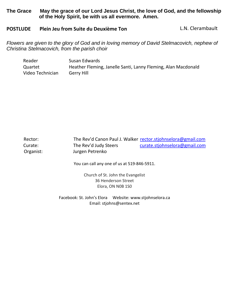#### **The Grace May the grace of our Lord Jesus Christ, the love of God, and the fellowship of the Holy Spirit, be with us all evermore. Amen.**

# **POSTLUDE** Plein Jeu from Suite du Deuxième Ton<br>
L.N. Clerambault

*Flowers are given to the glory of God and in loving memory of David Stelmacovich, nephew of Christina Stelmacovich, from the parish choir*

| Reader           | Susan Edwards                                                 |
|------------------|---------------------------------------------------------------|
| Quartet          | Heather Fleming, Janelle Santi, Lanny Fleming, Alan Macdonald |
| Video Technician | Gerry Hill                                                    |

| Rector:   | The Rev'd Canon Paul J. Walker rector.stjohnselora@gmail.com |
|-----------|--------------------------------------------------------------|
| Curate:   | curate.stjohnselora@gmail.com<br>The Rev'd Judy Steers       |
| Organist: | Jurgen Petrenko                                              |
|           |                                                              |
|           | You can call any one of us at 519-846-5911.                  |
|           | Church of St. John the Evangelist                            |
|           | 36 Henderson Street                                          |
|           | Elora, ON N0B 1S0                                            |

Facebook: St. John's Elora Website: [www.stjohnselora.ca](http://www.stjohnselora.ca/) Email: stjohns@sentex.net